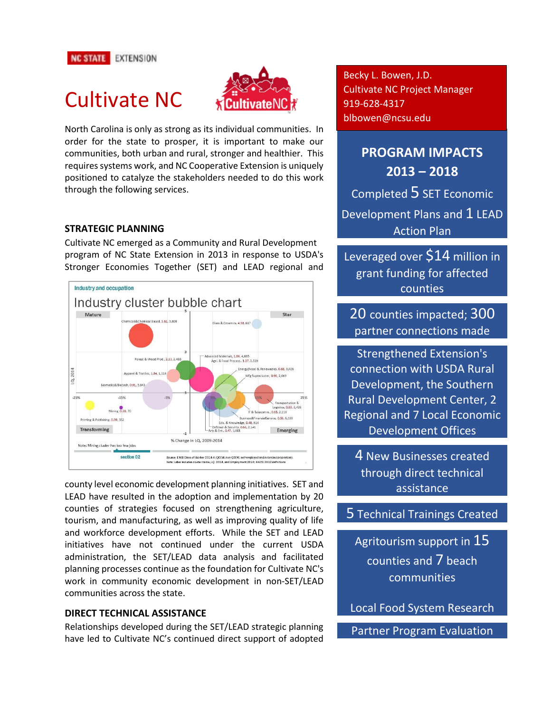# Cultivate NC



North Carolina is only as strong as its individual communities. In order for the state to prosper, it is important to make our communities, both urban and rural, stronger and healthier. This requires systems work, and NC Cooperative Extension is uniquely positioned to catalyze the stakeholders needed to do this work through the following services.

#### **STRATEGIC PLANNING**

Cultivate NC emerged as a Community and Rural Development program of NC State Extension in 2013 in response to USDA's Stronger Economies Together (SET) and LEAD regional and



county level economic development planning initiatives. SET and LEAD have resulted in the adoption and implementation by 20 counties of strategies focused on strengthening agriculture, tourism, and manufacturing, as well as improving quality of life and workforce development efforts. While the SET and LEAD initiatives have not continued under the current USDA administration, the SET/LEAD data analysis and facilitated planning processes continue as the foundation for Cultivate NC's work in community economic development in non-SET/LEAD communities across the state.

#### **DIRECT TECHNICAL ASSISTANCE**

Relationships developed during the SET/LEAD strategic planning have led to Cultivate NC's continued direct support of adopted Becky L. Bowen, J.D. Cultivate NC Project Manager 919-628-4317 blbowen@ncsu.edu

## **PROGRAM IMPACTS 2013 – 2018** Completed 5 SET Economic Development Plans and 1 LEAD

Action Plan

Leveraged over \$14 million in grant funding for affected counties

20 counties impacted; 300 partner connections made

Strengthened Extension's connection with USDA Rural Development, the Southern Rural Development Center, 2 Regional and 7 Local Economic Development Offices

4 New Businesses created through direct technical assistance

### 5 Technical Trainings Created

Agritourism support in 15 counties and 7 beach communities

Local Food System Research

Partner Program Evaluation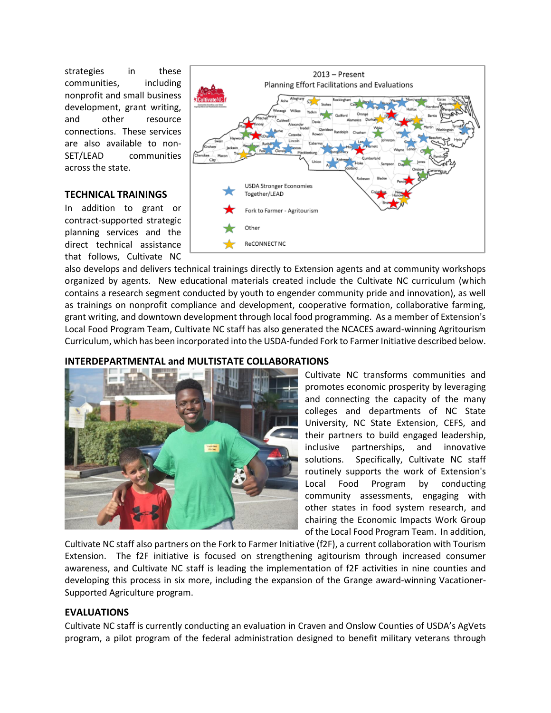strategies in these communities, including nonprofit and small business development, grant writing, and other resource connections. These services are also available to non-SET/LEAD communities across the state.

#### **TECHNICAL TRAININGS**

In addition to grant or contract-supported strategic planning services and the direct technical assistance that follows, Cultivate NC



also develops and delivers technical trainings directly to Extension agents and at community workshops organized by agents. New educational materials created include the Cultivate NC curriculum (which contains a research segment conducted by youth to engender community pride and innovation), as well as trainings on nonprofit compliance and development, cooperative formation, collaborative farming, grant writing, and downtown development through local food programming. As a member of Extension's Local Food Program Team, Cultivate NC staff has also generated the NCACES award-winning Agritourism Curriculum, which has been incorporated into the USDA-funded Fork to Farmer Initiative described below.

#### **INTERDEPARTMENTAL and MULTISTATE COLLABORATIONS**



Cultivate NC transforms communities and promotes economic prosperity by leveraging and connecting the capacity of the many colleges and departments of NC State University, NC State Extension, CEFS, and their partners to build engaged leadership, inclusive partnerships, and innovative solutions. Specifically, Cultivate NC staff routinely supports the work of Extension's Local Food Program by conducting community assessments, engaging with other states in food system research, and chairing the Economic Impacts Work Group of the Local Food Program Team. In addition,

Cultivate NC staff also partners on the Fork to Farmer Initiative (f2F), a current collaboration with Tourism Extension. The f2F initiative is focused on strengthening agitourism through increased consumer awareness, and Cultivate NC staff is leading the implementation of f2F activities in nine counties and developing this process in six more, including the expansion of the Grange award-winning Vacationer-Supported Agriculture program.

#### **EVALUATIONS**

Cultivate NC staff is currently conducting an evaluation in Craven and Onslow Counties of USDA's AgVets program, a pilot program of the federal administration designed to benefit military veterans through